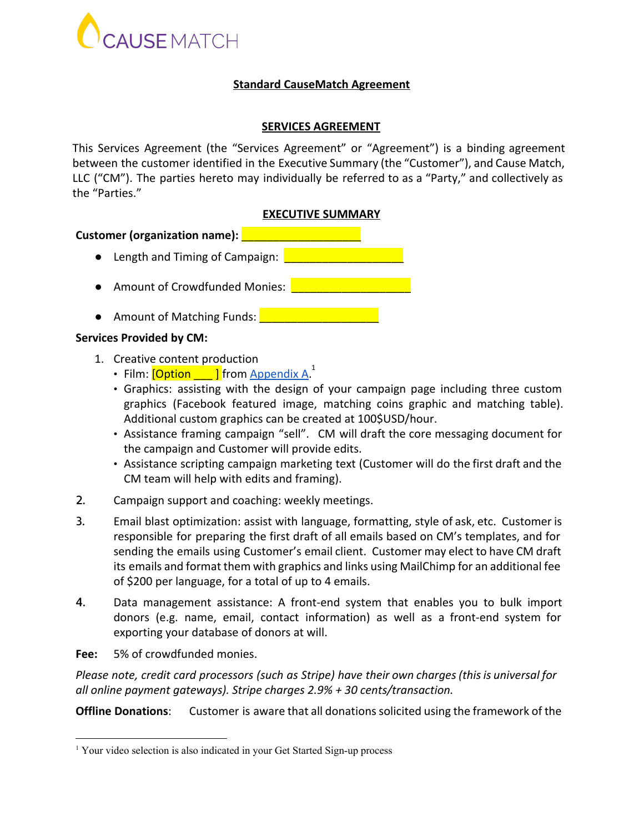

## **Standard CauseMatch Agreement**

## **SERVICES AGREEMENT**

This Services Agreement (the "Services Agreement" or "Agreement") is a binding agreement between the customer identified in the Executive Summary (the "Customer"), and Cause Match, LLC ("CM"). The parties hereto may individually be referred to as a "Party," and collectively as the "Parties."

## **EXECUTIVE SUMMARY**

## **Customer (organization name): Letter**

- Length and Timing of Campaign:
- Amount of Crowdfunded Monies: \_\_\_\_\_\_\_\_\_\_\_\_\_\_\_\_\_\_\_
- Amount of Matching Funds: ■ ■

## **Services Provided by CM:**

- 1. Creative content production
	- Film:  $\frac{[Option ]}{[Option ]}$  from  $\frac{Appendix A^1}{[Point]}.$
	- Graphics: assisting with the design of your campaign page including three custom graphics (Facebook featured image, matching coins graphic and matching table). Additional custom graphics can be created at 100\$USD/hour.
	- Assistance framing campaign "sell". CM will draft the core messaging document for the campaign and Customer will provide edits.
	- Assistance scripting campaign marketing text (Customer will do the first draft and the CM team will help with edits and framing).
- 2. Campaign support and coaching: weekly meetings.
- 3. Email blast optimization: assist with language, formatting, style of ask, etc. Customer is responsible for preparing the first draft of all emails based on CM's templates, and for sending the emails using Customer's email client. Customer may elect to have CM draft its emails and format them with graphics and links using MailChimp for an additional fee of \$200 per language, for a total of up to 4 emails.
- 4. Data management assistance: A front-end system that enables you to bulk import donors (e.g. name, email, contact information) as well as a front-end system for exporting your database of donors at will.
- **Fee:** 5% of crowdfunded monies.

*Please note, credit card processors (such as Stripe) have their own charges(thisis universal for all online payment gateways). Stripe charges 2.9% + 30 cents/transaction.*

**Offline Donations**: Customer is aware that all donationssolicited using the framework of the

<sup>&</sup>lt;sup>1</sup> Your video selection is also indicated in your Get Started Sign-up process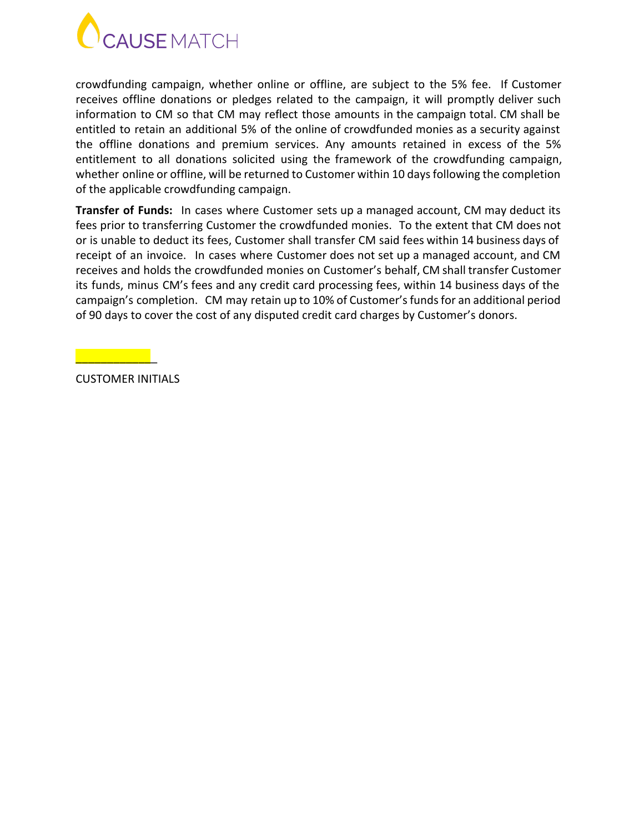

crowdfunding campaign, whether online or offline, are subject to the 5% fee. If Customer receives offline donations or pledges related to the campaign, it will promptly deliver such information to CM so that CM may reflect those amounts in the campaign total. CM shall be entitled to retain an additional 5% of the online of crowdfunded monies as a security against the offline donations and premium services. Any amounts retained in excess of the 5% entitlement to all donations solicited using the framework of the crowdfunding campaign, whether online or offline, will be returned to Customer within 10 days following the completion of the applicable crowdfunding campaign.

**Transfer of Funds:** In cases where Customer sets up a managed account, CM may deduct its fees prior to transferring Customer the crowdfunded monies. To the extent that CM does not or is unable to deduct its fees, Customer shall transfer CM said fees within 14 business days of receipt of an invoice. In cases where Customer does not set up a managed account, and CM receives and holds the crowdfunded monies on Customer's behalf, CM shall transfer Customer its funds, minus CM's fees and any credit card processing fees, within 14 business days of the campaign's completion. CM may retain up to 10% of Customer's funds for an additional period of 90 days to cover the cost of any disputed credit card charges by Customer's donors.

CUSTOMER INITIALS

\_\_\_\_\_\_\_\_\_\_\_\_\_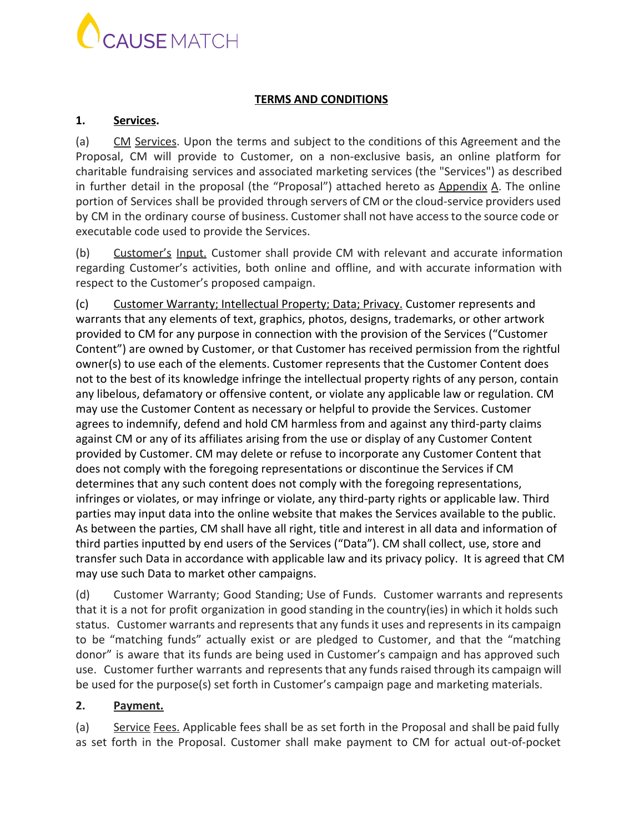

## **TERMS AND CONDITIONS**

## **1. Services.**

(a) CM Services. Upon the terms and subject to the conditions of this Agreement and the Proposal, CM will provide to Customer, on a non-exclusive basis, an online platform for charitable fundraising services and associated marketing services (the "Services") as described in further detail in the proposal (the "Proposal") attached hereto as Appendix A. The online portion of Services shall be provided through servers of CM or the cloud-service providers used by CM in the ordinary course of business. Customershall not have accessto the source code or executable code used to provide the Services.

(b) Customer's Input. Customer shall provide CM with relevant and accurate information regarding Customer's activities, both online and offline, and with accurate information with respect to the Customer's proposed campaign.

(c) Customer Warranty; Intellectual Property; Data; Privacy. Customer represents and warrants that any elements of text, graphics, photos, designs, trademarks, or other artwork provided to CM for any purpose in connection with the provision of the Services ("Customer Content") are owned by Customer, or that Customer has received permission from the rightful owner(s) to use each of the elements. Customer represents that the Customer Content does not to the best of its knowledge infringe the intellectual property rights of any person, contain any libelous, defamatory or offensive content, or violate any applicable law or regulation. CM may use the Customer Content as necessary or helpful to provide the Services. Customer agrees to indemnify, defend and hold CM harmless from and against any third-party claims against CM or any of its affiliates arising from the use or display of any Customer Content provided by Customer. CM may delete or refuse to incorporate any Customer Content that does not comply with the foregoing representations or discontinue the Services if CM determines that any such content does not comply with the foregoing representations, infringes or violates, or may infringe or violate, any third-party rights or applicable law. Third parties may input data into the online website that makes the Services available to the public. As between the parties, CM shall have all right, title and interest in all data and information of third parties inputted by end users of the Services ("Data"). CM shall collect, use, store and transfer such Data in accordance with applicable law and its privacy policy. It is agreed that CM may use such Data to market other campaigns.

(d) Customer Warranty; Good Standing; Use of Funds. Customer warrants and represents that it is a not for profit organization in good standing in the country(ies) in which it holds such status. Customer warrants and represents that any funds it uses and represents in its campaign to be "matching funds" actually exist or are pledged to Customer, and that the "matching donor" is aware that its funds are being used in Customer's campaign and has approved such use. Customer further warrants and represents that any funds raised through its campaign will be used for the purpose(s) set forth in Customer's campaign page and marketing materials.

## **2. Payment.**

(a) Service Fees. Applicable fees shall be as set forth in the Proposal and shall be paid fully as set forth in the Proposal. Customer shall make payment to CM for actual out-of-pocket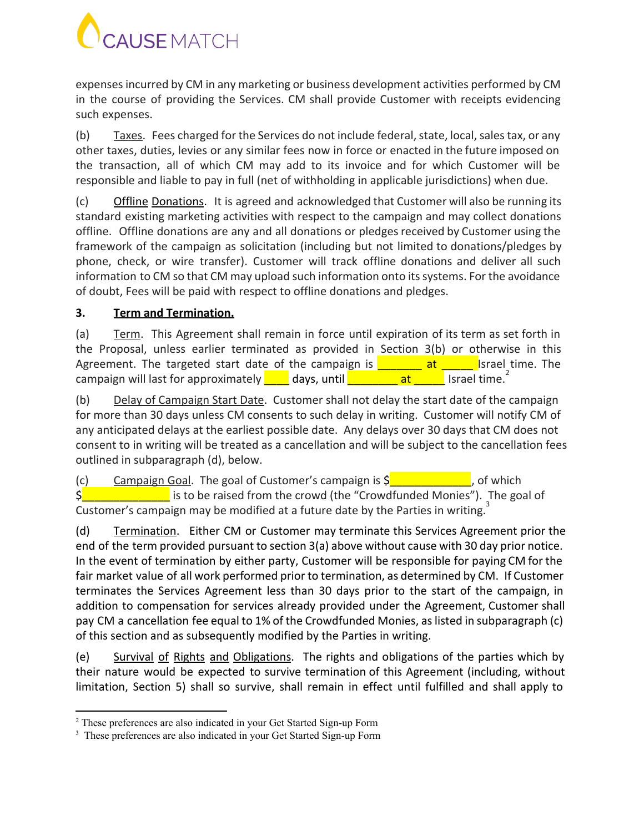

expensesincurred by CM in any marketing or business development activities performed by CM in the course of providing the Services. CM shall provide Customer with receipts evidencing such expenses.

(b) Taxes. Fees charged for the Services do not include federal, state, local, sales tax, or any other taxes, duties, levies or any similar fees now in force or enacted in the future imposed on the transaction, all of which CM may add to its invoice and for which Customer will be responsible and liable to pay in full (net of withholding in applicable jurisdictions) when due.

(c) Offline Donations. It is agreed and acknowledged that Customer will also be running its standard existing marketing activities with respect to the campaign and may collect donations offline. Offline donations are any and all donations or pledgesreceived by Customer using the framework of the campaign as solicitation (including but not limited to donations/pledges by phone, check, or wire transfer). Customer will track offline donations and deliver all such information to CM so that CM may upload such information onto its systems. For the avoidance of doubt, Fees will be paid with respect to offline donations and pledges.

# **3. Term and Termination.**

(a) Term. This Agreement shall remain in force until expiration of its term as set forth in the Proposal, unless earlier terminated as provided in Section 3(b) or otherwise in this Agreement. The targeted start date of the campaign is  $\frac{1}{\sqrt{1-\frac{1}{n}}}$  Israel time. The campaign will last for approximately  $\begin{array}{|c|c|c|c|c|c|}\n\hline\n\text{days, until} & \text{at} & \text{Israel time.} \end{array}$ 

(b) Delay of Campaign Start Date. Customer shall not delay the start date of the campaign for more than 30 days unless CM consents to such delay in writing. Customer will notify CM of any anticipated delays at the earliest possible date. Any delays over 30 days that CM does not consent to in writing will be treated as a cancellation and will be subject to the cancellation fees outlined in subparagraph (d), below.

(c) Campaign Goal. The goal of Customer's campaign is  $\zeta$  and the sum of which  $\frac{1}{2}$  is to be raised from the crowd (the "Crowdfunded Monies"). The goal of Customer's campaign may be modified at a future date by the Parties in writing.<sup>3</sup>

(d) Termination. Either CM or Customer may terminate this Services Agreement prior the end of the term provided pursuant to section 3(a) above without cause with 30 day prior notice. In the event of termination by either party, Customer will be responsible for paying CM for the fair market value of all work performed prior to termination, as determined by CM. If Customer terminates the Services Agreement less than 30 days prior to the start of the campaign, in addition to compensation for services already provided under the Agreement, Customer shall pay CM a cancellation fee equal to 1% of the Crowdfunded Monies, aslisted in subparagraph (c) of this section and as subsequently modified by the Parties in writing.

(e) Survival of Rights and Obligations. The rights and obligations of the parties which by their nature would be expected to survive termination of this Agreement (including, without limitation, Section 5) shall so survive, shall remain in effect until fulfilled and shall apply to

<sup>&</sup>lt;sup>2</sup> These preferences are also indicated in your Get Started Sign-up Form

<sup>&</sup>lt;sup>3</sup> These preferences are also indicated in your Get Started Sign-up Form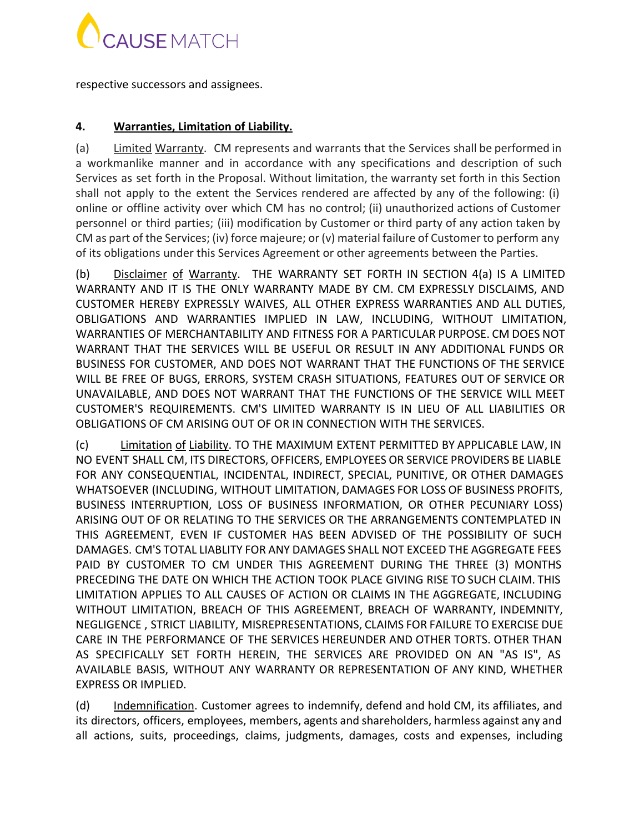

respective successors and assignees.

# **4. Warranties, Limitation of Liability.**

(a) Limited Warranty. CM represents and warrants that the Services shall be performed in a workmanlike manner and in accordance with any specifications and description of such Services as set forth in the Proposal. Without limitation, the warranty set forth in this Section shall not apply to the extent the Services rendered are affected by any of the following: (i) online or offline activity over which CM has no control; (ii) unauthorized actions of Customer personnel or third parties; (iii) modification by Customer or third party of any action taken by CM as part of the Services; (iv) force majeure; or (v) material failure of Customer to perform any of its obligations under this Services Agreement or other agreements between the Parties.

(b) Disclaimer of Warranty. THE WARRANTY SET FORTH IN SECTION 4(a) IS A LIMITED WARRANTY AND IT IS THE ONLY WARRANTY MADE BY CM. CM EXPRESSLY DISCLAIMS, AND CUSTOMER HEREBY EXPRESSLY WAIVES, ALL OTHER EXPRESS WARRANTIES AND ALL DUTIES, OBLIGATIONS AND WARRANTIES IMPLIED IN LAW, INCLUDING, WITHOUT LIMITATION, WARRANTIES OF MERCHANTABILITY AND FITNESS FOR A PARTICULAR PURPOSE. CM DOES NOT WARRANT THAT THE SERVICES WILL BE USEFUL OR RESULT IN ANY ADDITIONAL FUNDS OR BUSINESS FOR CUSTOMER, AND DOES NOT WARRANT THAT THE FUNCTIONS OF THE SERVICE WILL BE FREE OF BUGS, ERRORS, SYSTEM CRASH SITUATIONS, FEATURES OUT OF SERVICE OR UNAVAILABLE, AND DOES NOT WARRANT THAT THE FUNCTIONS OF THE SERVICE WILL MEET CUSTOMER'S REQUIREMENTS. CM'S LIMITED WARRANTY IS IN LIEU OF ALL LIABILITIES OR OBLIGATIONS OF CM ARISING OUT OF OR IN CONNECTION WITH THE SERVICES.

(c) Limitation of Liability. TO THE MAXIMUM EXTENT PERMITTED BY APPLICABLE LAW, IN NO EVENT SHALL CM, ITS DIRECTORS, OFFICERS, EMPLOYEES OR SERVICE PROVIDERS BE LIABLE FOR ANY CONSEQUENTIAL, INCIDENTAL, INDIRECT, SPECIAL, PUNITIVE, OR OTHER DAMAGES WHATSOEVER (INCLUDING, WITHOUT LIMITATION, DAMAGES FOR LOSS OF BUSINESS PROFITS, BUSINESS INTERRUPTION, LOSS OF BUSINESS INFORMATION, OR OTHER PECUNIARY LOSS) ARISING OUT OF OR RELATING TO THE SERVICES OR THE ARRANGEMENTS CONTEMPLATED IN THIS AGREEMENT, EVEN IF CUSTOMER HAS BEEN ADVISED OF THE POSSIBILITY OF SUCH DAMAGES. CM'S TOTAL LIABLITY FOR ANY DAMAGES SHALL NOT EXCEED THE AGGREGATE FEES PAID BY CUSTOMER TO CM UNDER THIS AGREEMENT DURING THE THREE (3) MONTHS PRECEDING THE DATE ON WHICH THE ACTION TOOK PLACE GIVING RISE TO SUCH CLAIM. THIS LIMITATION APPLIES TO ALL CAUSES OF ACTION OR CLAIMS IN THE AGGREGATE, INCLUDING WITHOUT LIMITATION, BREACH OF THIS AGREEMENT, BREACH OF WARRANTY, INDEMNITY, NEGLIGENCE , STRICT LIABILITY, MISREPRESENTATIONS, CLAIMS FOR FAILURE TO EXERCISE DUE CARE IN THE PERFORMANCE OF THE SERVICES HEREUNDER AND OTHER TORTS. OTHER THAN AS SPECIFICALLY SET FORTH HEREIN, THE SERVICES ARE PROVIDED ON AN "AS IS", AS AVAILABLE BASIS, WITHOUT ANY WARRANTY OR REPRESENTATION OF ANY KIND, WHETHER EXPRESS OR IMPLIED.

(d) Indemnification. Customer agrees to indemnify, defend and hold CM, its affiliates, and its directors, officers, employees, members, agents and shareholders, harmless against any and all actions, suits, proceedings, claims, judgments, damages, costs and expenses, including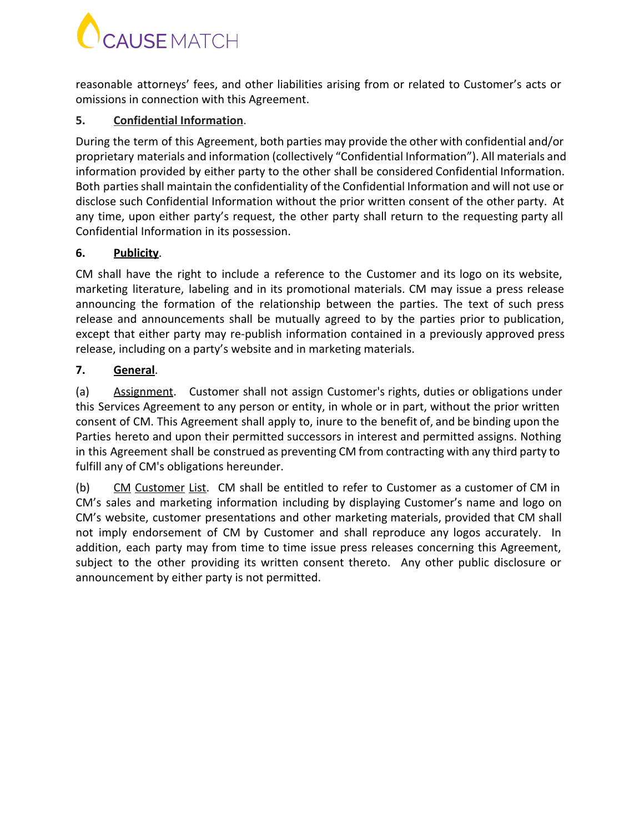# **CAUSE** MATCH

reasonable attorneys' fees, and other liabilities arising from or related to Customer's acts or omissions in connection with this Agreement.

# **5. Confidential Information**.

During the term of this Agreement, both parties may provide the other with confidential and/or proprietary materials and information (collectively "Confidential Information"). All materials and information provided by either party to the other shall be considered Confidential Information. Both parties shall maintain the confidentiality of the Confidential Information and will not use or disclose such Confidential Information without the prior written consent of the other party. At any time, upon either party's request, the other party shall return to the requesting party all Confidential Information in its possession.

# **6. Publicity**.

CM shall have the right to include a reference to the Customer and its logo on its website, marketing literature, labeling and in its promotional materials. CM may issue a press release announcing the formation of the relationship between the parties. The text of such press release and announcements shall be mutually agreed to by the parties prior to publication, except that either party may re-publish information contained in a previously approved press release, including on a party's website and in marketing materials.

# **7. General**.

(a) Assignment. Customer shall not assign Customer's rights, duties or obligations under this Services Agreement to any person or entity, in whole or in part, without the prior written consent of CM. This Agreement shall apply to, inure to the benefit of, and be binding upon the Parties hereto and upon their permitted successors in interest and permitted assigns. Nothing in this Agreement shall be construed as preventing CM from contracting with any third party to fulfill any of CM's obligations hereunder.

(b)  $CM$  Customer List. CM shall be entitled to refer to Customer as a customer of CM in CM's sales and marketing information including by displaying Customer's name and logo on CM's website, customer presentations and other marketing materials, provided that CM shall not imply endorsement of CM by Customer and shall reproduce any logos accurately. In addition, each party may from time to time issue press releases concerning this Agreement, subject to the other providing its written consent thereto. Any other public disclosure or announcement by either party is not permitted.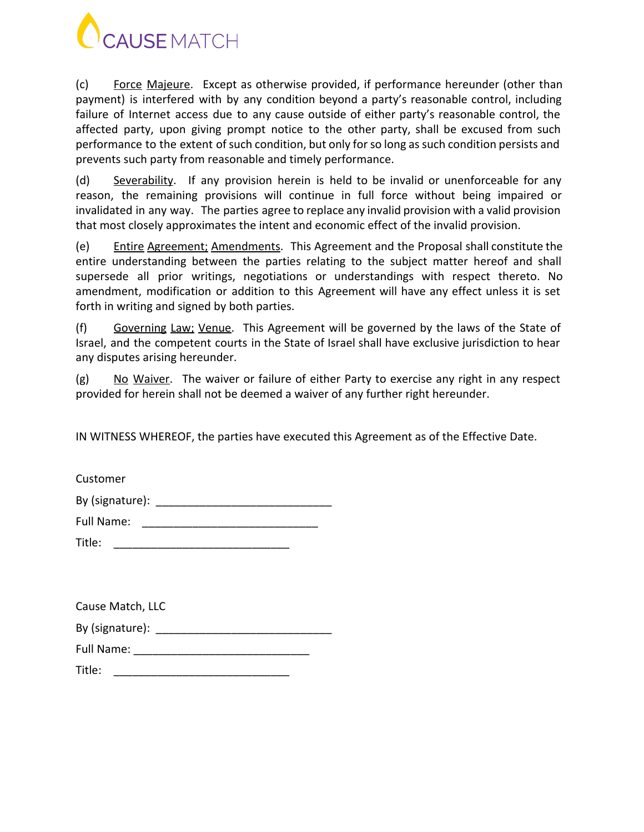

(c) Force Majeure. Except as otherwise provided, if performance hereunder (other than payment) is interfered with by any condition beyond a party's reasonable control, including failure of Internet access due to any cause outside of either party's reasonable control, the affected party, upon giving prompt notice to the other party, shall be excused from such performance to the extent of such condition, but only for so long as such condition persists and prevents such party from reasonable and timely performance.

(d) Severability. If any provision herein is held to be invalid or unenforceable for any reason, the remaining provisions will continue in full force without being impaired or invalidated in any way. The parties agree to replace any invalid provision with a valid provision that most closely approximates the intent and economic effect of the invalid provision.

(e) Entire Agreement; Amendments. This Agreement and the Proposal shall constitute the entire understanding between the parties relating to the subject matter hereof and shall supersede all prior writings, negotiations or understandings with respect thereto. No amendment, modification or addition to this Agreement will have any effect unless it is set forth in writing and signed by both parties.

(f) Governing Law; Venue. This Agreement will be governed by the laws of the State of Israel, and the competent courts in the State of Israel shall have exclusive jurisdiction to hear any disputes arising hereunder.

(g)  $\overline{N}$  No Waiver. The waiver or failure of either Party to exercise any right in any respect provided for herein shall not be deemed a waiver of any further right hereunder.

IN WITNESS WHEREOF, the parties have executed this Agreement as of the Effective Date.

| Customer        |  |
|-----------------|--|
| By (signature): |  |
| Full Name:      |  |

| Cause Match, LLC |
|------------------|
| By (signature):  |
| Full Name:       |
| Title:           |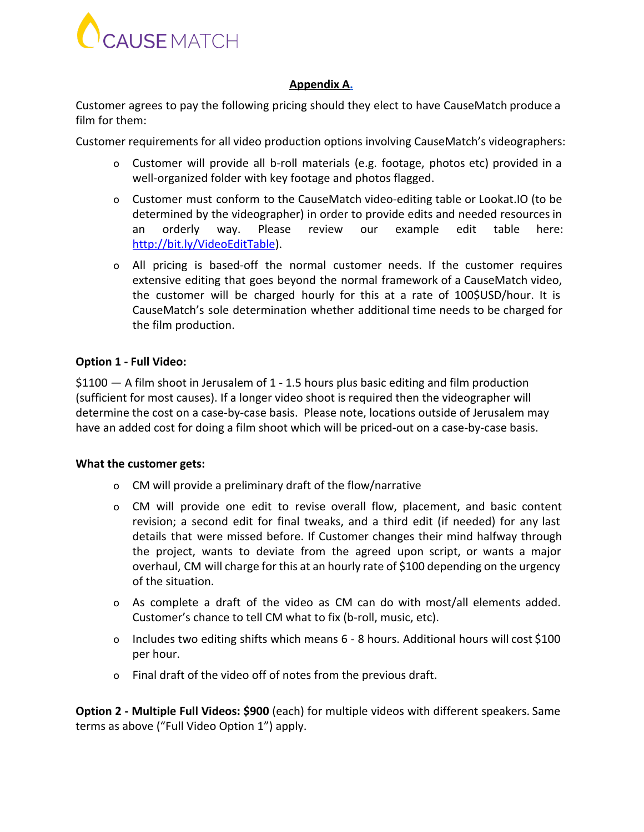

## **Appendix A[.](#page-7-0)**

Customer agrees to pay the following pricing should they elect to have CauseMatch produce a film for them:

Customer requirements for all video production options involving CauseMatch's videographers:

- o Customer will provide all b-roll materials (e.g. footage, photos etc) provided in a well-organized folder with key footage and photos flagged.
- <span id="page-7-0"></span>o Customer must conform to the CauseMatch video-editing table or Lookat.IO (to be determined by the videographer) in order to provide edits and needed resourcesin an orderly way. Please review our example edit table here: [http://bit.ly/VideoEditTable\)](http://bit.ly/VideoEditTable).
- o All pricing is based-off the normal customer needs. If the customer requires extensive editing that goes beyond the normal framework of a CauseMatch video, the customer will be charged hourly for this at a rate of 100\$USD/hour. It is CauseMatch's sole determination whether additional time needs to be charged for the film production.

## **Option 1 - Full Video:**

 $$1100 - A$  film shoot in Jerusalem of 1 - 1.5 hours plus basic editing and film production (sufficient for most causes). If a longer video shoot is required then the videographer will determine the cost on a case-by-case basis. Please note, locations outside of Jerusalem may have an added cost for doing a film shoot which will be priced-out on a case-by-case basis.

## **What the customer gets:**

- o CM will provide a preliminary draft of the flow/narrative
- o CM will provide one edit to revise overall flow, placement, and basic content revision; a second edit for final tweaks, and a third edit (if needed) for any last details that were missed before. If Customer changes their mind halfway through the project, wants to deviate from the agreed upon script, or wants a major overhaul, CM will charge for this at an hourly rate of \$100 depending on the urgency of the situation.
- o As complete a draft of the video as CM can do with most/all elements added. Customer's chance to tell CM what to fix (b-roll, music, etc).
- o Includes two editing shifts which means 6 8 hours. Additional hours will cost \$100 per hour.
- o Final draft of the video off of notes from the previous draft.

**Option 2 - Multiple Full Videos: \$900** (each) for multiple videos with different speakers. Same terms as above ("Full Video Option 1") apply.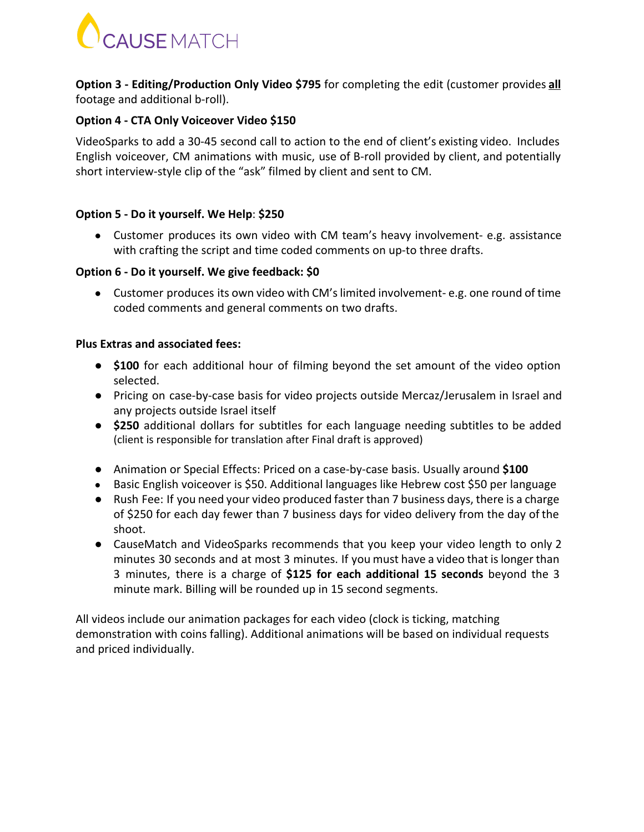

**Option 3 - Editing/Production Only Video \$795** for completing the edit (customer provides **all** footage and additional b-roll).

## **Option 4 - CTA Only Voiceover Video \$150**

VideoSparks to add a 30-45 second call to action to the end of client's existing video. Includes English voiceover, CM animations with music, use of B-roll provided by client, and potentially short interview-style clip of the "ask" filmed by client and sent to CM.

## **Option 5 - Do it yourself. We Help**: **\$250**

● Customer produces its own video with CM team's heavy involvement- e.g. assistance with crafting the script and time coded comments on up-to three drafts.

## **Option 6 - Do it yourself. We give feedback: \$0**

• Customer produces its own video with CM's limited involvement-e.g. one round of time coded comments and general comments on two drafts.

## **Plus Extras and associated fees:**

- **\$100** for each additional hour of filming beyond the set amount of the video option selected.
- Pricing on case-by-case basis for video projects outside Mercaz/Jerusalem in Israel and any projects outside Israel itself
- **\$250** additional dollars for subtitles for each language needing subtitles to be added (client is responsible for translation after Final draft is approved)
- Animation or Special Effects: Priced on a case-by-case basis. Usually around **\$100**
- Basic English voiceover is \$50. Additional languages like Hebrew cost \$50 per language
- Rush Fee: If you need your video produced faster than 7 business days, there is a charge of \$250 for each day fewer than 7 business days for video delivery from the day of the shoot.
- CauseMatch and VideoSparks recommends that you keep your video length to only 2 minutes 30 seconds and at most 3 minutes. If you must have a video that islonger than 3 minutes, there is a charge of **\$125 for each additional 15 seconds** beyond the 3 minute mark. Billing will be rounded up in 15 second segments.

All videos include our animation packages for each video (clock is ticking, matching demonstration with coins falling). Additional animations will be based on individual requests and priced individually.